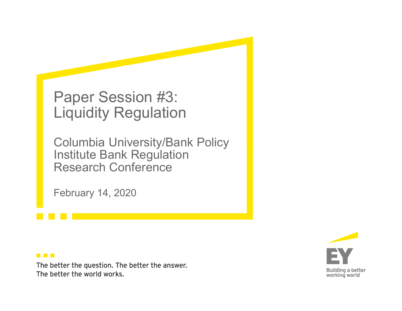Paper Session #3: Liquidity Regulation

Columbia University/Bank Policy Institute Bank Regulation Research Conference

February 14, 2020

**The Company** The better the world works.

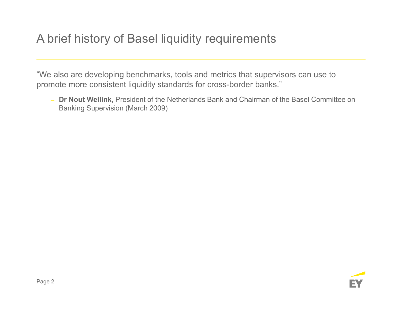# A brief history of Basel liquidity requirements

"We also are developing benchmarks, tools and metrics that supervisors can use to promote more consistent liquidity standards for cross-border banks."

― Dr Nout Wellink, President of the Netherlands Bank and Chairman of the Basel Committee on Banking Supervision (March 2009)

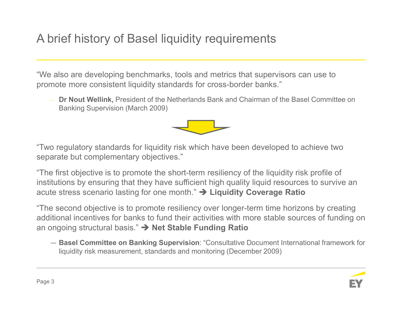## A brief history of Basel liquidity requirements

"We also are developing benchmarks, tools and metrics that supervisors can use to promote more consistent liquidity standards for cross-border banks."

― Dr Nout Wellink, President of the Netherlands Bank and Chairman of the Basel Committee on Banking Supervision (March 2009)



"Two regulatory standards for liquidity risk which have been developed to achieve two separate but complementary objectives."

"The first objective is to promote the short-term resiliency of the liquidity risk profile of institutions by ensuring that they have sufficient high quality liquid resources to survive an acute stress scenario lasting for one month."  $\rightarrow$  Liquidity Coverage Ratio

"The second objective is to promote resiliency over longer-term time horizons by creating additional incentives for banks to fund their activities with more stable sources of funding on an ongoing structural basis."  $\rightarrow$  Net Stable Funding Ratio

― Basel Committee on Banking Supervision: "Consultative Document International framework for liquidity risk measurement, standards and monitoring (December 2009)

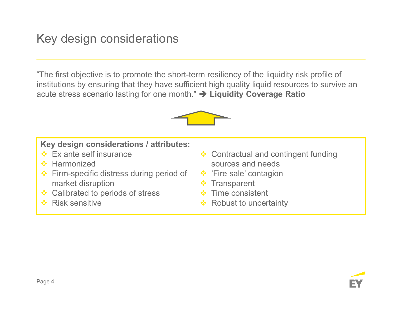# Key design considerations

"The first objective is to promote the short-term resiliency of the liquidity risk profile of institutions by ensuring that they have sufficient high quality liquid resources to survive an acute stress scenario lasting for one month." > Liquidity Coverage Ratio Summary design considerations<br>
The first objective is to promote the short-term resiliency of the liquidity risk prover<br>
stritutions by ensuring that they have sufficient high quality liquid resources to<br>
cute stress scen



- $\div$  Fx ante self insurance
- **❖ Harmonized**
- $\div$  Firm-specific distress during period of market disruption
- **❖** Calibrated to periods of stress
- $\triangle$  Risk sensitive
- **❖** Contractual and contingent funding sources and needs
- $\div$  'Fire sale' contagion
- **❖** Transparent
- **❖** Time consistent
- ❖ Robust to uncertainty

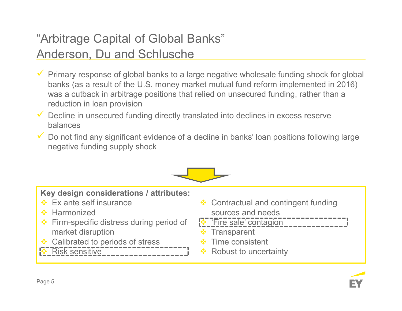## "Arbitrage Capital of Global Banks" Anderson, Du and Schlusche

- Frimary response of global banks to a large negative wholesale funding s<br>
banks (as a result of the U.S. money market mutual fund reform implement<br>
was a cutback in arbitrage positions that relied on unsecured funding, ra Primary response of global banks to a large negative wholesale funding shock for global banks (as a result of the U.S. money market mutual fund reform implemented in 2016) was a cutback in arbitrage positions that relied on unsecured funding, rather than a reduction in loan provision
- Decline in unsecured funding directly translated into declines in excess reserve balances
- Do not find any significant evidence of a decline in banks' loan positions following large negative funding supply shock



- $\div$  Fx ante self insurance
- **☆ Harmonized**
- $\div$  Firm-specific distress during period of market disruption
- ❖ Calibrated to periods of stress
- **Risk sensitive**
- **❖** Contractual and contingent funding sources and needs
- **<del>☆</del>** Fire sale' contagion
- **Transparent**
- Time consistent
- **☆** Robust to uncertainty

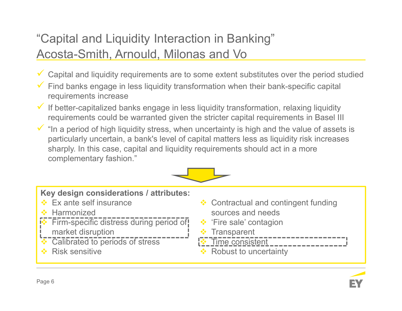## "Capital and Liquidity Interaction in Banking" Acosta-Smith, Arnould, Milonas and Vo

- $\checkmark$  Capital and liquidity requirements are to some extent substitutes over the period studied
- $\checkmark$  Find banks engage in less liquidity transformation when their bank-specific capital requirements increase
- $\checkmark$  If better-capitalized banks engage in less liquidity transformation, relaxing liquidity requirements could be warranted given the stricter capital requirements in Basel III
- "In a period of high liquidity stress, when uncertainty is high and the value of assets is particularly uncertain, a bank's level of capital matters less as liquidity risk increases sharply. In this case, capital and liquidity requirements should act in a more complementary fashion."



Key design considerations / attributes:

- $\div$  Fx ante self insurance
- Harmonized
- Firm-specific distress during period of market disruption
- 
- **\*\*** Calibrated to periods of stress
- **❖ Risk sensitive**
- **❖** Contractual and contingent funding sources and needs
- $\cdot$  'Fire sale' contagion
- **❖ Transparent** 
	- Time consistent
	-
- **☆** Robust to uncertainty